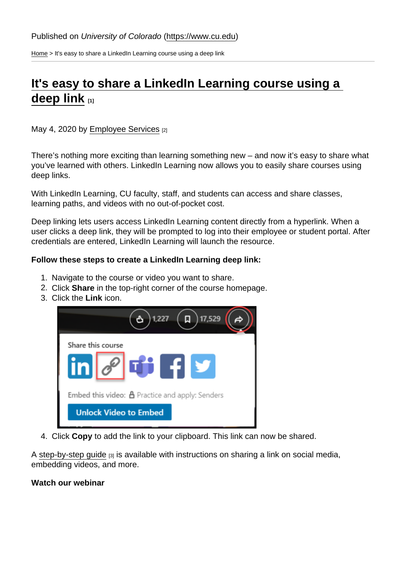[Home](https://www.cu.edu/) > It's easy to share a LinkedIn Learning course using a deep link

## [It's easy to share a LinkedIn Learning course using a](https://www.cu.edu/blog/work-life/its-easy-share-linkedin-learning-course-using-deep-link)  [deep link](https://www.cu.edu/blog/work-life/its-easy-share-linkedin-learning-course-using-deep-link) [1]

May 4, 2020 by [Employee Services](https://www.cu.edu/blog/work-life/author/9230) [2]

There's nothing more exciting than learning something new – and now it's easy to share what you've learned with others. LinkedIn Learning now allows you to easily share courses using deep links.

With LinkedIn Learning, CU faculty, staff, and students can access and share classes, learning paths, and videos with no out-of-pocket cost.

Deep linking lets users access LinkedIn Learning content directly from a hyperlink. When a user clicks a deep link, they will be prompted to log into their employee or student portal. After credentials are entered, LinkedIn Learning will launch the resource.

Follow these steps to create a LinkedIn Learning deep link:

- 1. Navigate to the course or video you want to share.
- 2. Click Share in the top-right corner of the course homepage.
- 3. Click the Link icon.

4. Click Copy to add the link to your clipboard. This link can now be shared.

A [step-by-step guide](https://www.cu.edu/docs/deep-links-lil) [3] is available with instructions on sharing a link on social media, embedding videos, and more.

Watch our webinar